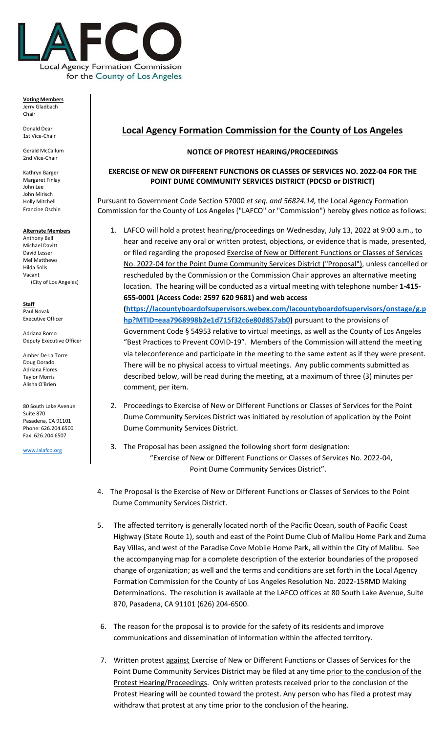

**Voting Members** Jerry Gladbach Chair

Donald Dear 1st Vice-Chair

Gerald McCallum 2nd Vice-Chair

Kathryn Barger Margaret Finlay John Lee John Mirisch Holly Mitchell Francine Oschin

#### **Alternate Members**

Anthony Bell Michael Davitt David Lesser Mel Matthews Hilda Solis Vacant (City of Los Angeles)

**Staff** Paul Novak Executive Officer

Adriana Romo Deputy Executive Officer

Amber De La Torre Doug Dorado Adriana Flores Taylor Morris Alisha O'Brien

80 South Lake Avenue Suite 870 Pasadena, CA 91101 Phone: 626.204.6500 Fax: 626.204.6507

[www.lalafco.org](http://www.lalafco.org/)

# **Local Agency Formation Commission for the County of Los Angeles**

### **NOTICE OF PROTEST HEARING/PROCEEDINGS**

## **EXERCISE OF NEW OR DIFFERENT FUNCTIONS OR CLASSES OF SERVICES NO. 2022-04 FOR THE POINT DUME COMMUNITY SERVICES DISTRICT (PDCSD or DISTRICT)**

Pursuant to Government Code Section 57000 *et seq. and 56824.14,* the Local Agency Formation Commission for the County of Los Angeles ("LAFCO" or "Commission") hereby gives notice as follows:

1. LAFCO will hold a protest hearing/proceedings on Wednesday, July 13, 2022 at 9:00 a.m., to hear and receive any oral or written protest, objections, or evidence that is made, presented, or filed regarding the proposed Exercise of New or Different Functions or Classes of Services No. 2022-04 for the Point Dume Community Services District ("Proposal"), unless cancelled or rescheduled by the Commission or the Commission Chair approves an alternative meeting location. The hearing will be conducted as a virtual meeting with telephone number **1-415- 655-0001 (Access Code: 2597 620 9681) and web access** 

**[\(https://lacountyboardofsupervisors.webex.com/lacountyboardofsupervisors/onstage/g.p](https://lacountyboardofsupervisors.webex.com/lacountyboardofsupervisors/onstage/g.php?MTID=eaa7968998b2e1d715f32c6e80d857ab0) [hp?MTID=eaa7968998b2e1d715f32c6e80d857ab0\)](https://lacountyboardofsupervisors.webex.com/lacountyboardofsupervisors/onstage/g.php?MTID=eaa7968998b2e1d715f32c6e80d857ab0)** pursuant to the provisions of Government Code § 54953 relative to virtual meetings, as well as the County of Los Angeles "Best Practices to Prevent COVID-19". Members of the Commission will attend the meeting via teleconference and participate in the meeting to the same extent as if they were present. There will be no physical access to virtual meetings. Any public comments submitted as described below, will be read during the meeting, at a maximum of three (3) minutes per comment, per item.

- 2. Proceedings to Exercise of New or Different Functions or Classes of Services for the Point Dume Community Services District was initiated by resolution of application by the Point Dume Community Services District.
- 3. The Proposal has been assigned the following short form designation: "Exercise of New or Different Functions or Classes of Services No. 2022-04, Point Dume Community Services District".
- 4. The Proposal is the Exercise of New or Different Functions or Classes of Services to the Point Dume Community Services District.
- 5. The affected territory is generally located north of the Pacific Ocean, south of Pacific Coast Highway (State Route 1), south and east of the Point Dume Club of Malibu Home Park and Zuma Bay Villas, and west of the Paradise Cove Mobile Home Park, all within the City of Malibu. See the accompanying map for a complete description of the exterior boundaries of the proposed change of organization; as well and the terms and conditions are set forth in the Local Agency Formation Commission for the County of Los Angeles Resolution No. 2022-15RMD Making Determinations. The resolution is available at the LAFCO offices at 80 South Lake Avenue, Suite 870, Pasadena, CA 91101 (626) 204-6500.
- 6. The reason for the proposal is to provide for the safety of its residents and improve communications and dissemination of information within the affected territory.
- 7. Written protest against Exercise of New or Different Functions or Classes of Services for the Point Dume Community Services District may be filed at any time prior to the conclusion of the Protest Hearing/Proceedings. Only written protests received prior to the conclusion of the Protest Hearing will be counted toward the protest. Any person who has filed a protest may withdraw that protest at any time prior to the conclusion of the hearing.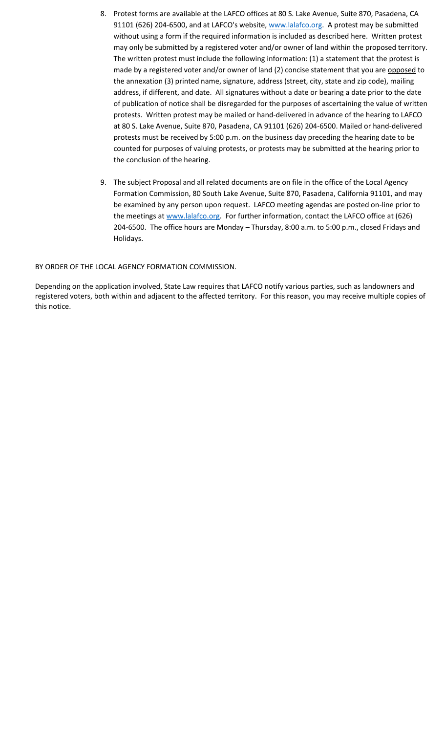- 8. Protest forms are available at the LAFCO offices at 80 S. Lake Avenue, Suite 870, Pasadena, CA 91101 (626) 204-6500, and at LAFCO's website[, www.lalafco.org.](http://www.lalafco.org/) A protest may be submitted without using a form if the required information is included as described here. Written protest may only be submitted by a registered voter and/or owner of land within the proposed territory. The written protest must include the following information: (1) a statement that the protest is made by a registered voter and/or owner of land (2) concise statement that you are opposed to the annexation (3) printed name, signature, address (street, city, state and zip code), mailing address, if different, and date. All signatures without a date or bearing a date prior to the date of publication of notice shall be disregarded for the purposes of ascertaining the value of written protests. Written protest may be mailed or hand-delivered in advance of the hearing to LAFCO at 80 S. Lake Avenue, Suite 870, Pasadena, CA 91101 (626) 204-6500. Mailed or hand-delivered protests must be received by 5:00 p.m. on the business day preceding the hearing date to be counted for purposes of valuing protests, or protests may be submitted at the hearing prior to the conclusion of the hearing.
- 9. The subject Proposal and all related documents are on file in the office of the Local Agency Formation Commission, 80 South Lake Avenue, Suite 870, Pasadena, California 91101, and may be examined by any person upon request. LAFCO meeting agendas are posted on-line prior to the meetings at [www.lalafco.org.](http://www.lalafco.org/) For further information, contact the LAFCO office at (626) 204-6500. The office hours are Monday – Thursday, 8:00 a.m. to 5:00 p.m., closed Fridays and Holidays.

### BY ORDER OF THE LOCAL AGENCY FORMATION COMMISSION.

Depending on the application involved, State Law requires that LAFCO notify various parties, such as landowners and registered voters, both within and adjacent to the affected territory. For this reason, you may receive multiple copies of this notice.